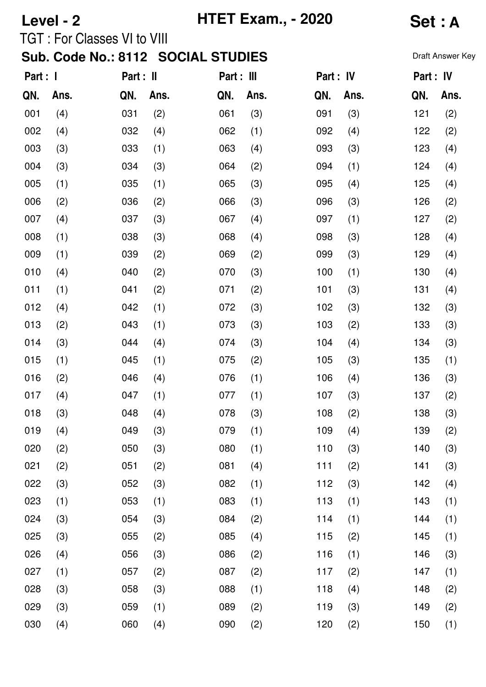# **Level - 2 HTET Exam., - 2020 Set : A**

TGT : For Classes VI to VIII

| Part : I |      | Part : II |      | Part : III |      | Part : IV |      | Part : IV |      |
|----------|------|-----------|------|------------|------|-----------|------|-----------|------|
| QN.      | Ans. | QN.       | Ans. | QN.        | Ans. | QN.       | Ans. | QN.       | Ans. |
| 001      | (4)  | 031       | (2)  | 061        | (3)  | 091       | (3)  | 121       | (2)  |
| 002      | (4)  | 032       | (4)  | 062        | (1)  | 092       | (4)  | 122       | (2)  |
| 003      | (3)  | 033       | (1)  | 063        | (4)  | 093       | (3)  | 123       | (4)  |
| 004      | (3)  | 034       | (3)  | 064        | (2)  | 094       | (1)  | 124       | (4)  |
| 005      | (1)  | 035       | (1)  | 065        | (3)  | 095       | (4)  | 125       | (4)  |
| 006      | (2)  | 036       | (2)  | 066        | (3)  | 096       | (3)  | 126       | (2)  |
| 007      | (4)  | 037       | (3)  | 067        | (4)  | 097       | (1)  | 127       | (2)  |
| 008      | (1)  | 038       | (3)  | 068        | (4)  | 098       | (3)  | 128       | (4)  |
| 009      | (1)  | 039       | (2)  | 069        | (2)  | 099       | (3)  | 129       | (4)  |
| 010      | (4)  | 040       | (2)  | 070        | (3)  | 100       | (1)  | 130       | (4)  |
| 011      | (1)  | 041       | (2)  | 071        | (2)  | 101       | (3)  | 131       | (4)  |
| 012      | (4)  | 042       | (1)  | 072        | (3)  | 102       | (3)  | 132       | (3)  |
| 013      | (2)  | 043       | (1)  | 073        | (3)  | 103       | (2)  | 133       | (3)  |
| 014      | (3)  | 044       | (4)  | 074        | (3)  | 104       | (4)  | 134       | (3)  |
| 015      | (1)  | 045       | (1)  | 075        | (2)  | 105       | (3)  | 135       | (1)  |
| 016      | (2)  | 046       | (4)  | 076        | (1)  | 106       | (4)  | 136       | (3)  |
| 017      | (4)  | 047       | (1)  | 077        | (1)  | 107       | (3)  | 137       | (2)  |
| 018      | (3)  | 048       | (4)  | 078        | (3)  | 108       | (2)  | 138       | (3)  |
| 019      | (4)  | 049       | (3)  | 079        | (1)  | 109       | (4)  | 139       | (2)  |
| 020      | (2)  | 050       | (3)  | 080        | (1)  | 110       | (3)  | 140       | (3)  |
| 021      | (2)  | 051       | (2)  | 081        | (4)  | 111       | (2)  | 141       | (3)  |
| 022      | (3)  | 052       | (3)  | 082        | (1)  | 112       | (3)  | 142       | (4)  |
| 023      | (1)  | 053       | (1)  | 083        | (1)  | 113       | (1)  | 143       | (1)  |
| 024      | (3)  | 054       | (3)  | 084        | (2)  | 114       | (1)  | 144       | (1)  |
| 025      | (3)  | 055       | (2)  | 085        | (4)  | 115       | (2)  | 145       | (1)  |
| 026      | (4)  | 056       | (3)  | 086        | (2)  | 116       | (1)  | 146       | (3)  |
| 027      | (1)  | 057       | (2)  | 087        | (2)  | 117       | (2)  | 147       | (1)  |
| 028      | (3)  | 058       | (3)  | 088        | (1)  | 118       | (4)  | 148       | (2)  |
| 029      | (3)  | 059       | (1)  | 089        | (2)  | 119       | (3)  | 149       | (2)  |
| 030      | (4)  | 060       | (4)  | 090        | (2)  | 120       | (2)  | 150       | (1)  |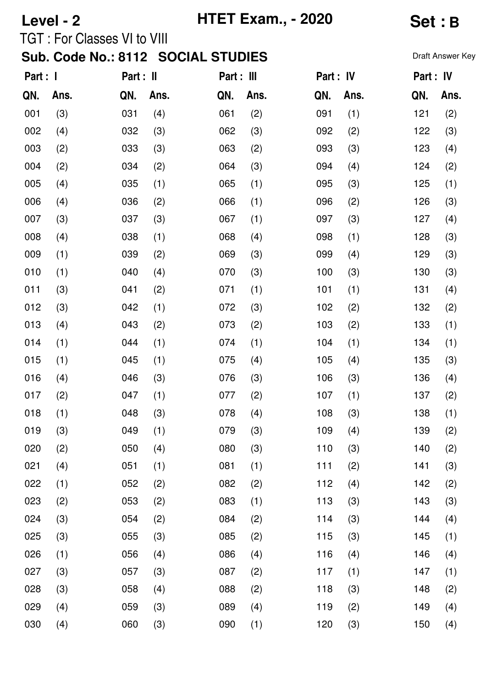## **Level - 2 HTET Exam., - 2020 Set : B**

### TGT : For Classes VI to VIII

| Part : I |      | Part : II |      | Part : III |      | Part : IV |      | Part : IV |      |
|----------|------|-----------|------|------------|------|-----------|------|-----------|------|
| QN.      | Ans. | QN.       | Ans. | QN.        | Ans. | QN.       | Ans. | QN.       | Ans. |
| 001      | (3)  | 031       | (4)  | 061        | (2)  | 091       | (1)  | 121       | (2)  |
| 002      | (4)  | 032       | (3)  | 062        | (3)  | 092       | (2)  | 122       | (3)  |
| 003      | (2)  | 033       | (3)  | 063        | (2)  | 093       | (3)  | 123       | (4)  |
| 004      | (2)  | 034       | (2)  | 064        | (3)  | 094       | (4)  | 124       | (2)  |
| 005      | (4)  | 035       | (1)  | 065        | (1)  | 095       | (3)  | 125       | (1)  |
| 006      | (4)  | 036       | (2)  | 066        | (1)  | 096       | (2)  | 126       | (3)  |
| 007      | (3)  | 037       | (3)  | 067        | (1)  | 097       | (3)  | 127       | (4)  |
| 008      | (4)  | 038       | (1)  | 068        | (4)  | 098       | (1)  | 128       | (3)  |
| 009      | (1)  | 039       | (2)  | 069        | (3)  | 099       | (4)  | 129       | (3)  |
| 010      | (1)  | 040       | (4)  | 070        | (3)  | 100       | (3)  | 130       | (3)  |
| 011      | (3)  | 041       | (2)  | 071        | (1)  | 101       | (1)  | 131       | (4)  |
| 012      | (3)  | 042       | (1)  | 072        | (3)  | 102       | (2)  | 132       | (2)  |
| 013      | (4)  | 043       | (2)  | 073        | (2)  | 103       | (2)  | 133       | (1)  |
| 014      | (1)  | 044       | (1)  | 074        | (1)  | 104       | (1)  | 134       | (1)  |
| 015      | (1)  | 045       | (1)  | 075        | (4)  | 105       | (4)  | 135       | (3)  |
| 016      | (4)  | 046       | (3)  | 076        | (3)  | 106       | (3)  | 136       | (4)  |
| 017      | (2)  | 047       | (1)  | 077        | (2)  | 107       | (1)  | 137       | (2)  |
| 018      | (1)  | 048       | (3)  | 078        | (4)  | 108       | (3)  | 138       | (1)  |
| 019      | (3)  | 049       | (1)  | 079        | (3)  | 109       | (4)  | 139       | (2)  |
| 020      | (2)  | 050       | (4)  | 080        | (3)  | 110       | (3)  | 140       | (2)  |
| 021      | (4)  | 051       | (1)  | 081        | (1)  | 111       | (2)  | 141       | (3)  |
| 022      | (1)  | 052       | (2)  | 082        | (2)  | 112       | (4)  | 142       | (2)  |
| 023      | (2)  | 053       | (2)  | 083        | (1)  | 113       | (3)  | 143       | (3)  |
| 024      | (3)  | 054       | (2)  | 084        | (2)  | 114       | (3)  | 144       | (4)  |
| 025      | (3)  | 055       | (3)  | 085        | (2)  | 115       | (3)  | 145       | (1)  |
| 026      | (1)  | 056       | (4)  | 086        | (4)  | 116       | (4)  | 146       | (4)  |
| 027      | (3)  | 057       | (3)  | 087        | (2)  | 117       | (1)  | 147       | (1)  |
| 028      | (3)  | 058       | (4)  | 088        | (2)  | 118       | (3)  | 148       | (2)  |
| 029      | (4)  | 059       | (3)  | 089        | (4)  | 119       | (2)  | 149       | (4)  |
| 030      | (4)  | 060       | (3)  | 090        | (1)  | 120       | (3)  | 150       | (4)  |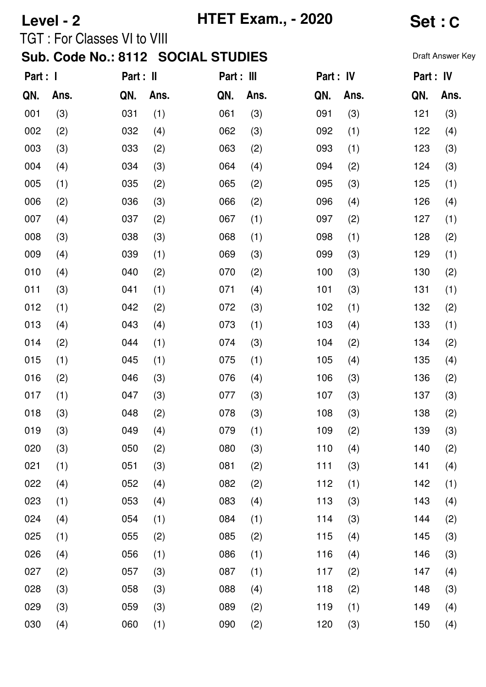# **Level - 2 HTET Exam., - 2020 Set : C**

TGT : For Classes VI to VIII

| Part : I |      | Part : II |      | Part : III |      | Part : IV |      | Part : IV |      |
|----------|------|-----------|------|------------|------|-----------|------|-----------|------|
| QN.      | Ans. | QN.       | Ans. | QN.        | Ans. | QN.       | Ans. | QN.       | Ans. |
| 001      | (3)  | 031       | (1)  | 061        | (3)  | 091       | (3)  | 121       | (3)  |
| 002      | (2)  | 032       | (4)  | 062        | (3)  | 092       | (1)  | 122       | (4)  |
| 003      | (3)  | 033       | (2)  | 063        | (2)  | 093       | (1)  | 123       | (3)  |
| 004      | (4)  | 034       | (3)  | 064        | (4)  | 094       | (2)  | 124       | (3)  |
| 005      | (1)  | 035       | (2)  | 065        | (2)  | 095       | (3)  | 125       | (1)  |
| 006      | (2)  | 036       | (3)  | 066        | (2)  | 096       | (4)  | 126       | (4)  |
| 007      | (4)  | 037       | (2)  | 067        | (1)  | 097       | (2)  | 127       | (1)  |
| 008      | (3)  | 038       | (3)  | 068        | (1)  | 098       | (1)  | 128       | (2)  |
| 009      | (4)  | 039       | (1)  | 069        | (3)  | 099       | (3)  | 129       | (1)  |
| 010      | (4)  | 040       | (2)  | 070        | (2)  | 100       | (3)  | 130       | (2)  |
| 011      | (3)  | 041       | (1)  | 071        | (4)  | 101       | (3)  | 131       | (1)  |
| 012      | (1)  | 042       | (2)  | 072        | (3)  | 102       | (1)  | 132       | (2)  |
| 013      | (4)  | 043       | (4)  | 073        | (1)  | 103       | (4)  | 133       | (1)  |
| 014      | (2)  | 044       | (1)  | 074        | (3)  | 104       | (2)  | 134       | (2)  |
| 015      | (1)  | 045       | (1)  | 075        | (1)  | 105       | (4)  | 135       | (4)  |
| 016      | (2)  | 046       | (3)  | 076        | (4)  | 106       | (3)  | 136       | (2)  |
| 017      | (1)  | 047       | (3)  | 077        | (3)  | 107       | (3)  | 137       | (3)  |
| 018      | (3)  | 048       | (2)  | 078        | (3)  | 108       | (3)  | 138       | (2)  |
| 019      | (3)  | 049       | (4)  | 079        | (1)  | 109       | (2)  | 139       | (3)  |
| 020      | (3)  | 050       | (2)  | 080        | (3)  | 110       | (4)  | 140       | (2)  |
| 021      | (1)  | 051       | (3)  | 081        | (2)  | 111       | (3)  | 141       | (4)  |
| 022      | (4)  | 052       | (4)  | 082        | (2)  | 112       | (1)  | 142       | (1)  |
| 023      | (1)  | 053       | (4)  | 083        | (4)  | 113       | (3)  | 143       | (4)  |
| 024      | (4)  | 054       | (1)  | 084        | (1)  | 114       | (3)  | 144       | (2)  |
| 025      | (1)  | 055       | (2)  | 085        | (2)  | 115       | (4)  | 145       | (3)  |
| 026      | (4)  | 056       | (1)  | 086        | (1)  | 116       | (4)  | 146       | (3)  |
| 027      | (2)  | 057       | (3)  | 087        | (1)  | 117       | (2)  | 147       | (4)  |
| 028      | (3)  | 058       | (3)  | 088        | (4)  | 118       | (2)  | 148       | (3)  |
| 029      | (3)  | 059       | (3)  | 089        | (2)  | 119       | (1)  | 149       | (4)  |
| 030      | (4)  | 060       | (1)  | 090        | (2)  | 120       | (3)  | 150       | (4)  |